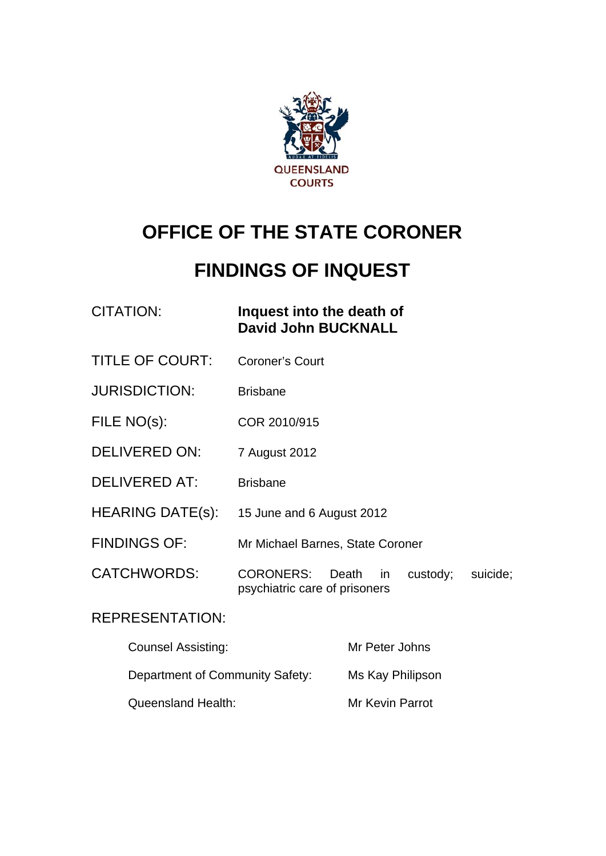

# **OFFICE OF THE STATE CORONER**

# **FINDINGS OF INQUEST**

| CITATION: | Inquest into the death of  |
|-----------|----------------------------|
|           | <b>David John BUCKNALL</b> |

- TITLE OF COURT: Coroner's Court
- JURISDICTION: Brisbane
- FILE NO(s): COR 2010/915
- DELIVERED ON: 7 August 2012
- DELIVERED AT: Brisbane
- HEARING DATE(s): 15 June and 6 August 2012
- FINDINGS OF: Mr Michael Barnes, State Coroner
- CATCHWORDS: CORONERS: Death in custody; suicide; psychiatric care of prisoners

### REPRESENTATION:

| <b>Counsel Assisting:</b>       | Mr Peter Johns         |
|---------------------------------|------------------------|
| Department of Community Safety: | Ms Kay Philipson       |
| Queensland Health:              | <b>Mr Kevin Parrot</b> |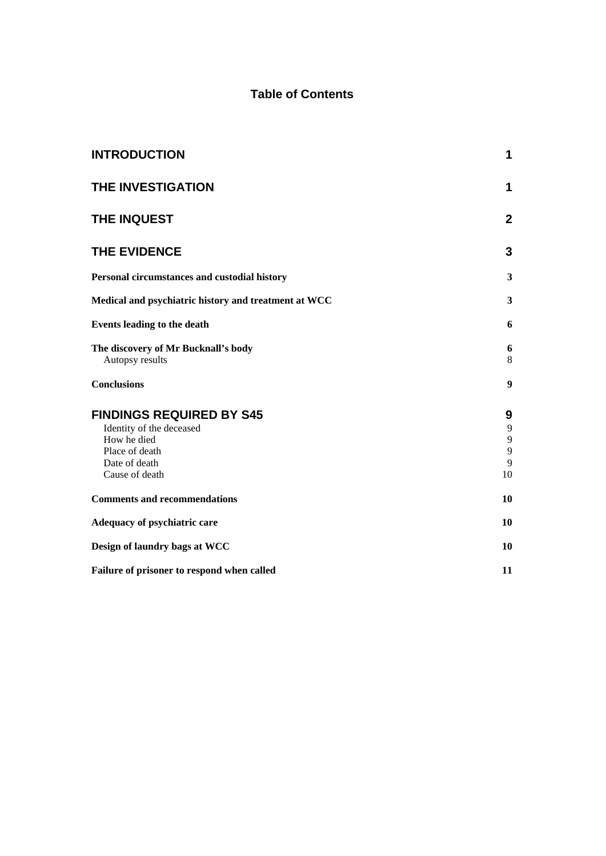#### **Table of Contents**

| <b>INTRODUCTION</b>                                                                                                             | 1                                        |
|---------------------------------------------------------------------------------------------------------------------------------|------------------------------------------|
| THE INVESTIGATION                                                                                                               | 1                                        |
| THE INQUEST                                                                                                                     | $\mathbf{2}$                             |
| <b>THE EVIDENCE</b>                                                                                                             | 3                                        |
| Personal circumstances and custodial history                                                                                    | 3                                        |
| Medical and psychiatric history and treatment at WCC                                                                            | 3                                        |
| <b>Events leading to the death</b>                                                                                              | 6                                        |
| The discovery of Mr Bucknall's body<br>Autopsy results                                                                          | 6<br>8                                   |
| <b>Conclusions</b>                                                                                                              | 9                                        |
| <b>FINDINGS REQUIRED BY S45</b><br>Identity of the deceased<br>How he died<br>Place of death<br>Date of death<br>Cause of death | 9<br>$\overline{9}$<br>9<br>9<br>9<br>10 |
| <b>Comments and recommendations</b>                                                                                             | 10                                       |
| Adequacy of psychiatric care                                                                                                    | 10                                       |
| Design of laundry bags at WCC                                                                                                   | 10                                       |
| Failure of prisoner to respond when called                                                                                      | 11                                       |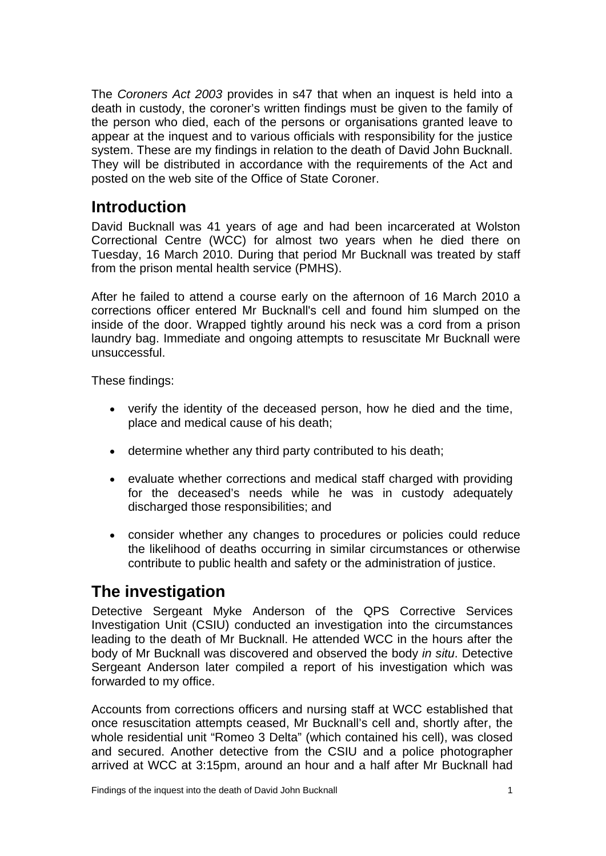The *Coroners Act 2003* provides in s47 that when an inquest is held into a death in custody, the coroner's written findings must be given to the family of the person who died, each of the persons or organisations granted leave to appear at the inquest and to various officials with responsibility for the justice system. These are my findings in relation to the death of David John Bucknall. They will be distributed in accordance with the requirements of the Act and posted on the web site of the Office of State Coroner.

## <span id="page-2-0"></span>**Introduction**

David Bucknall was 41 years of age and had been incarcerated at Wolston Correctional Centre (WCC) for almost two years when he died there on Tuesday, 16 March 2010. During that period Mr Bucknall was treated by staff from the prison mental health service (PMHS).

After he failed to attend a course early on the afternoon of 16 March 2010 a corrections officer entered Mr Bucknall's cell and found him slumped on the inside of the door. Wrapped tightly around his neck was a cord from a prison laundry bag. Immediate and ongoing attempts to resuscitate Mr Bucknall were unsuccessful.

These findings:

- verify the identity of the deceased person, how he died and the time, place and medical cause of his death;
- determine whether any third party contributed to his death;
- evaluate whether corrections and medical staff charged with providing for the deceased's needs while he was in custody adequately discharged those responsibilities; and
- consider whether any changes to procedures or policies could reduce the likelihood of deaths occurring in similar circumstances or otherwise contribute to public health and safety or the administration of justice.

# <span id="page-2-1"></span>**The investigation**

Detective Sergeant Myke Anderson of the QPS Corrective Services Investigation Unit (CSIU) conducted an investigation into the circumstances leading to the death of Mr Bucknall. He attended WCC in the hours after the body of Mr Bucknall was discovered and observed the body *in situ*. Detective Sergeant Anderson later compiled a report of his investigation which was forwarded to my office.

Accounts from corrections officers and nursing staff at WCC established that once resuscitation attempts ceased, Mr Bucknall's cell and, shortly after, the whole residential unit "Romeo 3 Delta" (which contained his cell), was closed and secured. Another detective from the CSIU and a police photographer arrived at WCC at 3:15pm, around an hour and a half after Mr Bucknall had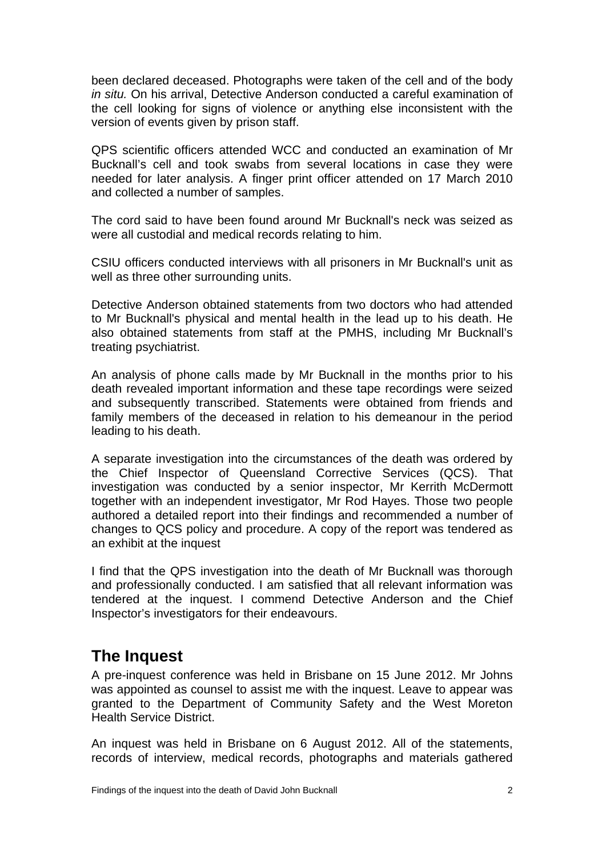been declared deceased. Photographs were taken of the cell and of the body *in situ.* On his arrival, Detective Anderson conducted a careful examination of the cell looking for signs of violence or anything else inconsistent with the version of events given by prison staff.

QPS scientific officers attended WCC and conducted an examination of Mr Bucknall's cell and took swabs from several locations in case they were needed for later analysis. A finger print officer attended on 17 March 2010 and collected a number of samples.

The cord said to have been found around Mr Bucknall's neck was seized as were all custodial and medical records relating to him.

CSIU officers conducted interviews with all prisoners in Mr Bucknall's unit as well as three other surrounding units.

Detective Anderson obtained statements from two doctors who had attended to Mr Bucknall's physical and mental health in the lead up to his death. He also obtained statements from staff at the PMHS, including Mr Bucknall's treating psychiatrist.

An analysis of phone calls made by Mr Bucknall in the months prior to his death revealed important information and these tape recordings were seized and subsequently transcribed. Statements were obtained from friends and family members of the deceased in relation to his demeanour in the period leading to his death.

A separate investigation into the circumstances of the death was ordered by the Chief Inspector of Queensland Corrective Services (QCS). That investigation was conducted by a senior inspector, Mr Kerrith McDermott together with an independent investigator, Mr Rod Hayes. Those two people authored a detailed report into their findings and recommended a number of changes to QCS policy and procedure. A copy of the report was tendered as an exhibit at the inquest

I find that the QPS investigation into the death of Mr Bucknall was thorough and professionally conducted. I am satisfied that all relevant information was tendered at the inquest. I commend Detective Anderson and the Chief Inspector's investigators for their endeavours.

# <span id="page-3-0"></span>**The Inquest**

A pre-inquest conference was held in Brisbane on 15 June 2012. Mr Johns was appointed as counsel to assist me with the inquest. Leave to appear was granted to the Department of Community Safety and the West Moreton Health Service District.

An inquest was held in Brisbane on 6 August 2012. All of the statements, records of interview, medical records, photographs and materials gathered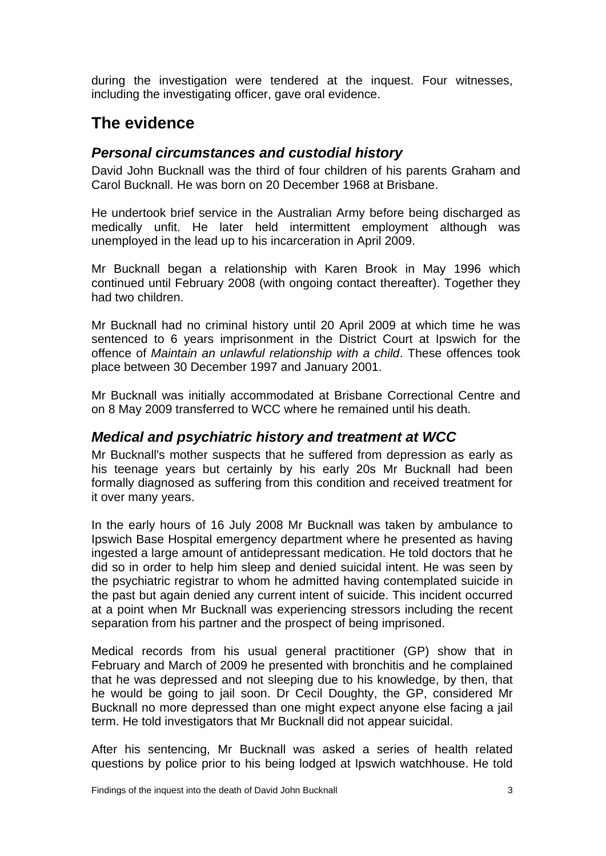during the investigation were tendered at the inquest. Four witnesses, including the investigating officer, gave oral evidence.

# <span id="page-4-0"></span>**The evidence**

### <span id="page-4-1"></span>*Personal circumstances and custodial history*

David John Bucknall was the third of four children of his parents Graham and Carol Bucknall. He was born on 20 December 1968 at Brisbane.

He undertook brief service in the Australian Army before being discharged as medically unfit. He later held intermittent employment although was unemployed in the lead up to his incarceration in April 2009.

Mr Bucknall began a relationship with Karen Brook in May 1996 which continued until February 2008 (with ongoing contact thereafter). Together they had two children.

Mr Bucknall had no criminal history until 20 April 2009 at which time he was sentenced to 6 years imprisonment in the District Court at Ipswich for the offence of *Maintain an unlawful relationship with a child*. These offences took place between 30 December 1997 and January 2001.

Mr Bucknall was initially accommodated at Brisbane Correctional Centre and on 8 May 2009 transferred to WCC where he remained until his death.

### <span id="page-4-2"></span>*Medical and psychiatric history and treatment at WCC*

Mr Bucknall's mother suspects that he suffered from depression as early as his teenage years but certainly by his early 20s Mr Bucknall had been formally diagnosed as suffering from this condition and received treatment for it over many years.

In the early hours of 16 July 2008 Mr Bucknall was taken by ambulance to Ipswich Base Hospital emergency department where he presented as having ingested a large amount of antidepressant medication. He told doctors that he did so in order to help him sleep and denied suicidal intent. He was seen by the psychiatric registrar to whom he admitted having contemplated suicide in the past but again denied any current intent of suicide. This incident occurred at a point when Mr Bucknall was experiencing stressors including the recent separation from his partner and the prospect of being imprisoned.

Medical records from his usual general practitioner (GP) show that in February and March of 2009 he presented with bronchitis and he complained that he was depressed and not sleeping due to his knowledge, by then, that he would be going to jail soon. Dr Cecil Doughty, the GP, considered Mr Bucknall no more depressed than one might expect anyone else facing a jail term. He told investigators that Mr Bucknall did not appear suicidal.

After his sentencing, Mr Bucknall was asked a series of health related questions by police prior to his being lodged at Ipswich watchhouse. He told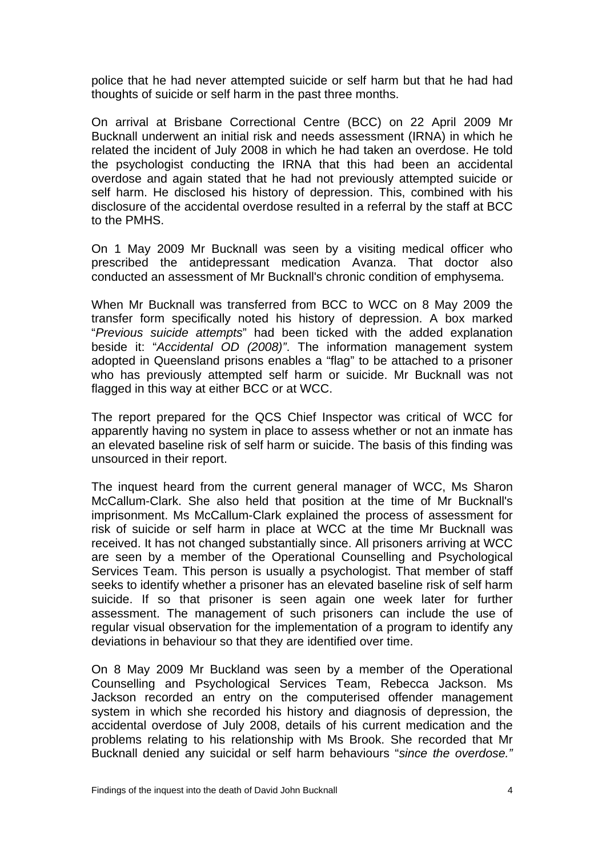police that he had never attempted suicide or self harm but that he had had thoughts of suicide or self harm in the past three months.

On arrival at Brisbane Correctional Centre (BCC) on 22 April 2009 Mr Bucknall underwent an initial risk and needs assessment (IRNA) in which he related the incident of July 2008 in which he had taken an overdose. He told the psychologist conducting the IRNA that this had been an accidental overdose and again stated that he had not previously attempted suicide or self harm. He disclosed his history of depression. This, combined with his disclosure of the accidental overdose resulted in a referral by the staff at BCC to the PMHS.

On 1 May 2009 Mr Bucknall was seen by a visiting medical officer who prescribed the antidepressant medication Avanza. That doctor also conducted an assessment of Mr Bucknall's chronic condition of emphysema.

When Mr Bucknall was transferred from BCC to WCC on 8 May 2009 the transfer form specifically noted his history of depression. A box marked "*Previous suicide attempts*" had been ticked with the added explanation beside it: "*Accidental OD (2008)"*. The information management system adopted in Queensland prisons enables a "flag" to be attached to a prisoner who has previously attempted self harm or suicide. Mr Bucknall was not flagged in this way at either BCC or at WCC.

The report prepared for the QCS Chief Inspector was critical of WCC for apparently having no system in place to assess whether or not an inmate has an elevated baseline risk of self harm or suicide. The basis of this finding was unsourced in their report.

The inquest heard from the current general manager of WCC, Ms Sharon McCallum-Clark. She also held that position at the time of Mr Bucknall's imprisonment. Ms McCallum-Clark explained the process of assessment for risk of suicide or self harm in place at WCC at the time Mr Bucknall was received. It has not changed substantially since. All prisoners arriving at WCC are seen by a member of the Operational Counselling and Psychological Services Team. This person is usually a psychologist. That member of staff seeks to identify whether a prisoner has an elevated baseline risk of self harm suicide. If so that prisoner is seen again one week later for further assessment. The management of such prisoners can include the use of regular visual observation for the implementation of a program to identify any deviations in behaviour so that they are identified over time.

On 8 May 2009 Mr Buckland was seen by a member of the Operational Counselling and Psychological Services Team, Rebecca Jackson. Ms Jackson recorded an entry on the computerised offender management system in which she recorded his history and diagnosis of depression, the accidental overdose of July 2008, details of his current medication and the problems relating to his relationship with Ms Brook. She recorded that Mr Bucknall denied any suicidal or self harm behaviours "*since the overdose."*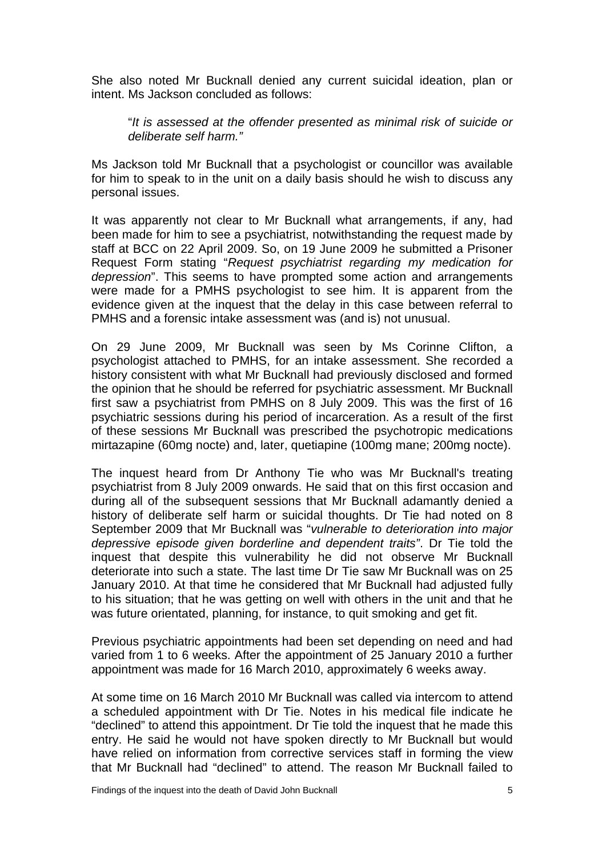She also noted Mr Bucknall denied any current suicidal ideation, plan or intent. Ms Jackson concluded as follows:

"*It is assessed at the offender presented as minimal risk of suicide or deliberate self harm."*

Ms Jackson told Mr Bucknall that a psychologist or councillor was available for him to speak to in the unit on a daily basis should he wish to discuss any personal issues.

It was apparently not clear to Mr Bucknall what arrangements, if any, had been made for him to see a psychiatrist, notwithstanding the request made by staff at BCC on 22 April 2009. So, on 19 June 2009 he submitted a Prisoner Request Form stating "*Request psychiatrist regarding my medication for depression*". This seems to have prompted some action and arrangements were made for a PMHS psychologist to see him. It is apparent from the evidence given at the inquest that the delay in this case between referral to PMHS and a forensic intake assessment was (and is) not unusual.

On 29 June 2009, Mr Bucknall was seen by Ms Corinne Clifton, a psychologist attached to PMHS, for an intake assessment. She recorded a history consistent with what Mr Bucknall had previously disclosed and formed the opinion that he should be referred for psychiatric assessment. Mr Bucknall first saw a psychiatrist from PMHS on 8 July 2009. This was the first of 16 psychiatric sessions during his period of incarceration. As a result of the first of these sessions Mr Bucknall was prescribed the psychotropic medications mirtazapine (60mg nocte) and, later, quetiapine (100mg mane; 200mg nocte).

The inquest heard from Dr Anthony Tie who was Mr Bucknall's treating psychiatrist from 8 July 2009 onwards. He said that on this first occasion and during all of the subsequent sessions that Mr Bucknall adamantly denied a history of deliberate self harm or suicidal thoughts. Dr Tie had noted on 8 September 2009 that Mr Bucknall was "*vulnerable to deterioration into major depressive episode given borderline and dependent traits"*. Dr Tie told the inquest that despite this vulnerability he did not observe Mr Bucknall deteriorate into such a state. The last time Dr Tie saw Mr Bucknall was on 25 January 2010. At that time he considered that Mr Bucknall had adjusted fully to his situation; that he was getting on well with others in the unit and that he was future orientated, planning, for instance, to quit smoking and get fit.

Previous psychiatric appointments had been set depending on need and had varied from 1 to 6 weeks. After the appointment of 25 January 2010 a further appointment was made for 16 March 2010, approximately 6 weeks away.

At some time on 16 March 2010 Mr Bucknall was called via intercom to attend a scheduled appointment with Dr Tie. Notes in his medical file indicate he "declined" to attend this appointment. Dr Tie told the inquest that he made this entry. He said he would not have spoken directly to Mr Bucknall but would have relied on information from corrective services staff in forming the view that Mr Bucknall had "declined" to attend. The reason Mr Bucknall failed to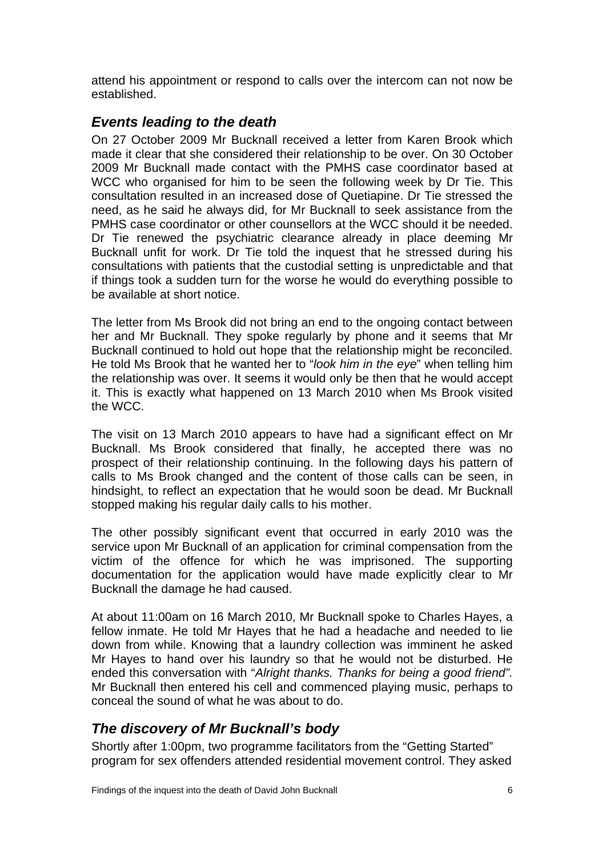attend his appointment or respond to calls over the intercom can not now be established.

### <span id="page-7-0"></span>*Events leading to the death*

On 27 October 2009 Mr Bucknall received a letter from Karen Brook which made it clear that she considered their relationship to be over. On 30 October 2009 Mr Bucknall made contact with the PMHS case coordinator based at WCC who organised for him to be seen the following week by Dr Tie. This consultation resulted in an increased dose of Quetiapine. Dr Tie stressed the need, as he said he always did, for Mr Bucknall to seek assistance from the PMHS case coordinator or other counsellors at the WCC should it be needed. Dr Tie renewed the psychiatric clearance already in place deeming Mr Bucknall unfit for work. Dr Tie told the inquest that he stressed during his consultations with patients that the custodial setting is unpredictable and that if things took a sudden turn for the worse he would do everything possible to be available at short notice.

The letter from Ms Brook did not bring an end to the ongoing contact between her and Mr Bucknall. They spoke regularly by phone and it seems that Mr Bucknall continued to hold out hope that the relationship might be reconciled. He told Ms Brook that he wanted her to "*look him in the eye*" when telling him the relationship was over. It seems it would only be then that he would accept it. This is exactly what happened on 13 March 2010 when Ms Brook visited the WCC.

The visit on 13 March 2010 appears to have had a significant effect on Mr Bucknall. Ms Brook considered that finally, he accepted there was no prospect of their relationship continuing. In the following days his pattern of calls to Ms Brook changed and the content of those calls can be seen, in hindsight, to reflect an expectation that he would soon be dead. Mr Bucknall stopped making his regular daily calls to his mother.

The other possibly significant event that occurred in early 2010 was the service upon Mr Bucknall of an application for criminal compensation from the victim of the offence for which he was imprisoned. The supporting documentation for the application would have made explicitly clear to Mr Bucknall the damage he had caused.

At about 11:00am on 16 March 2010, Mr Bucknall spoke to Charles Hayes, a fellow inmate. He told Mr Hayes that he had a headache and needed to lie down from while. Knowing that a laundry collection was imminent he asked Mr Hayes to hand over his laundry so that he would not be disturbed. He ended this conversation with "*Alright thanks. Thanks for being a good friend".*  Mr Bucknall then entered his cell and commenced playing music, perhaps to conceal the sound of what he was about to do.

## <span id="page-7-1"></span>*The discovery of Mr Bucknall's body*

Shortly after 1:00pm, two programme facilitators from the "Getting Started" program for sex offenders attended residential movement control. They asked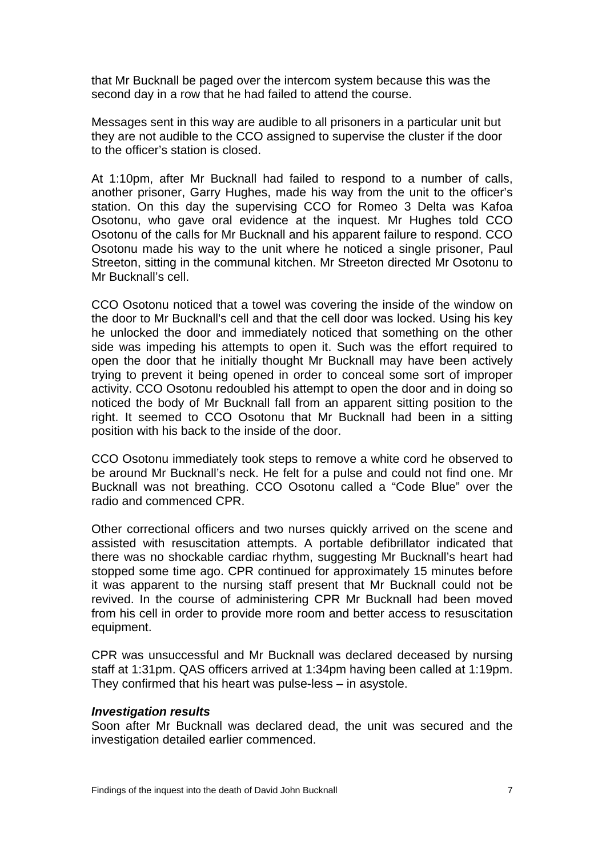that Mr Bucknall be paged over the intercom system because this was the second day in a row that he had failed to attend the course.

Messages sent in this way are audible to all prisoners in a particular unit but they are not audible to the CCO assigned to supervise the cluster if the door to the officer's station is closed.

At 1:10pm, after Mr Bucknall had failed to respond to a number of calls, another prisoner, Garry Hughes, made his way from the unit to the officer's station. On this day the supervising CCO for Romeo 3 Delta was Kafoa Osotonu, who gave oral evidence at the inquest. Mr Hughes told CCO Osotonu of the calls for Mr Bucknall and his apparent failure to respond. CCO Osotonu made his way to the unit where he noticed a single prisoner, Paul Streeton, sitting in the communal kitchen. Mr Streeton directed Mr Osotonu to Mr Bucknall's cell.

CCO Osotonu noticed that a towel was covering the inside of the window on the door to Mr Bucknall's cell and that the cell door was locked. Using his key he unlocked the door and immediately noticed that something on the other side was impeding his attempts to open it. Such was the effort required to open the door that he initially thought Mr Bucknall may have been actively trying to prevent it being opened in order to conceal some sort of improper activity. CCO Osotonu redoubled his attempt to open the door and in doing so noticed the body of Mr Bucknall fall from an apparent sitting position to the right. It seemed to CCO Osotonu that Mr Bucknall had been in a sitting position with his back to the inside of the door.

CCO Osotonu immediately took steps to remove a white cord he observed to be around Mr Bucknall's neck. He felt for a pulse and could not find one. Mr Bucknall was not breathing. CCO Osotonu called a "Code Blue" over the radio and commenced CPR.

Other correctional officers and two nurses quickly arrived on the scene and assisted with resuscitation attempts. A portable defibrillator indicated that there was no shockable cardiac rhythm, suggesting Mr Bucknall's heart had stopped some time ago. CPR continued for approximately 15 minutes before it was apparent to the nursing staff present that Mr Bucknall could not be revived. In the course of administering CPR Mr Bucknall had been moved from his cell in order to provide more room and better access to resuscitation equipment.

CPR was unsuccessful and Mr Bucknall was declared deceased by nursing staff at 1:31pm. QAS officers arrived at 1:34pm having been called at 1:19pm. They confirmed that his heart was pulse-less – in asystole.

#### *Investigation results*

S oon after Mr Bucknall was declared dead, the unit was secured and the i nvestigation detailed earlier commenced.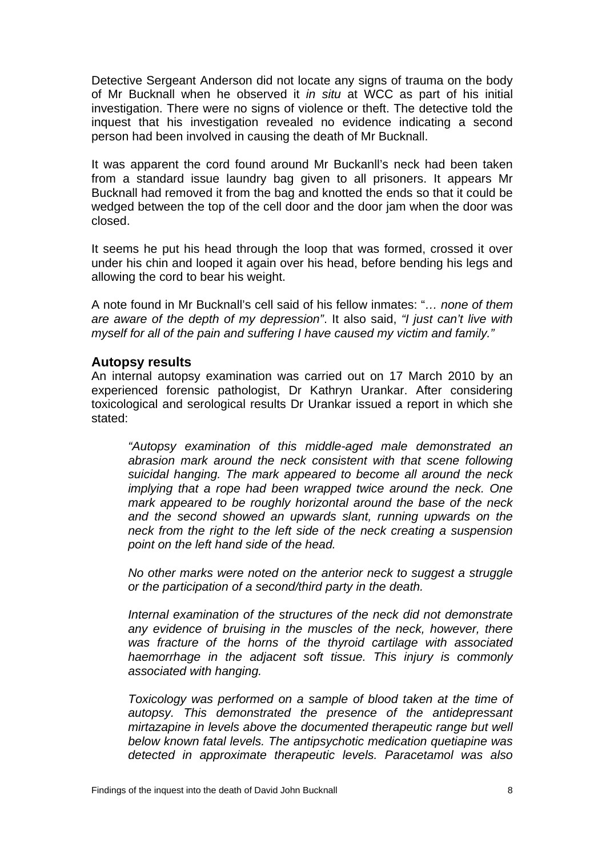Detective Sergeant Anderson did not locate any signs of trauma on the body of Mr Bucknall when he observed it *in situ* at WCC as part of his initial investigation. There were no signs of violence or theft. The detective told the nquest that his investigation revealed no evidence indicating a second i person had been involved in causing the death of Mr Bucknall.

It was apparent the cord found around Mr Buckanll's neck had been taken from a standard issue laundry bag given to all prisoners. It appears Mr Bucknall had removed it from the bag and knotted the ends so that it could be wedged between the top of the cell door and the door jam when the door was closed.

It seems he put his head through the loop that was formed, crossed it over under his chin and looped it again over his head, before bending his legs and allowing the cord to bear his weight.

A note found in Mr Bucknall's cell said of his fellow inmates: "*… none of them are aware of the depth of my depression"*. It also said, *"I just can't live with myself for all of the pain and suffering I have caused my victim and family."* 

#### <span id="page-9-0"></span>**Autopsy results**

An internal autopsy examination was carried out on 17 March 2010 by an experienced forensic pathologist, Dr Kathryn Urankar. After considering toxicological and serological results Dr Urankar issued a report in which she stated:

*"Autopsy examination of this middle-aged male demonstrated an abrasion mark around the neck consistent with that scene following suicidal hanging. The mark appeared to become all around the neck implying that a rope had been wrapped twice around the neck. One mark appeared to be roughly horizontal around the base of the neck and the second showed an upwards slant, running upwards on the neck from the right to the left side of the neck creating a suspension point on the left hand side of the head.* 

*No other marks were noted on the anterior neck to suggest a struggle or the participation of a second/third party in the death.* 

*Internal examination of the structures of the neck did not demonstrate any evidence of bruising in the muscles of the neck, however, there was fracture of the horns of the thyroid cartilage with associated haemorrhage in the adjacent soft tissue. This injury is commonly associated with hanging.* 

*Toxicology was performed on a sample of blood taken at the time of autopsy. This demonstrated the presence of the antidepressant mirtazapine in levels above the documented therapeutic range but well below known fatal levels. The antipsychotic medication quetiapine was detected in approximate therapeutic levels. Paracetamol was also*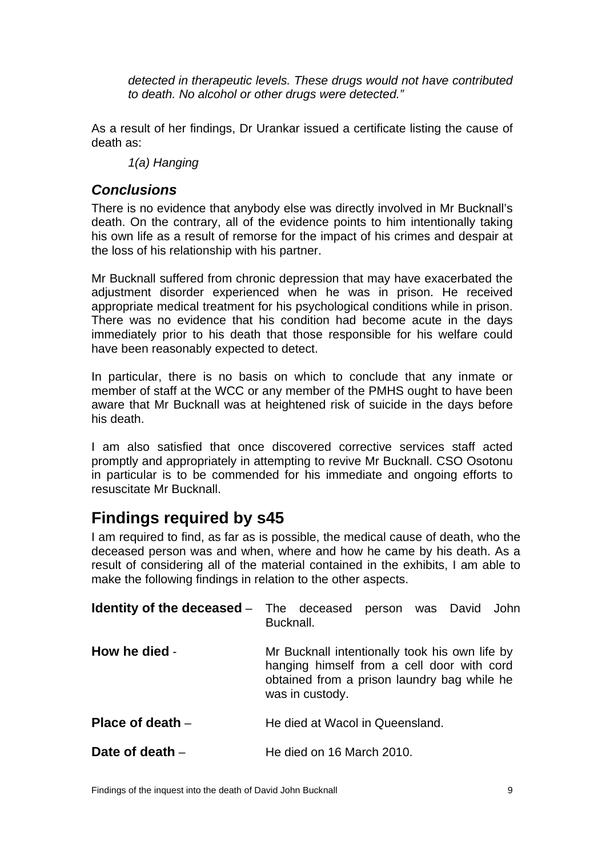*detected in therapeutic levels. These drugs would not have contributed to death. No alcohol or other drugs were detected."* 

As a result of her findings, Dr Urankar issued a certificate listing the cause of death as:

*1(a) Hanging* 

#### <span id="page-10-0"></span>*Conclusions*

There is no evidence that anybody else was directly involved in Mr Bucknall's death. On the contrary, all of the evidence points to him intentionally taking his own life as a result of remorse for the impact of his crimes and despair at the loss of his relationship with his partner.

Mr Bucknall suffered from chronic depression that may have exacerbated the adjustment disorder experienced when he was in prison. He received appropriate medical treatment for his psychological conditions while in prison. There was no evidence that his condition had become acute in the days mmediately prior to his death that those responsible for his welfare could i have been reasonably expected to detect.

In particular, there is no basis on which to conclude that any inmate or member of staff at the WCC or any member of the PMHS ought to have been aware that Mr Bucknall was at heightened risk of suicide in the days before his death.

I am also satisfied that once discovered corrective services staff acted promptly and appropriately in attempting to revive Mr Bucknall. CSO Osotonu in particular is to be commended for his immediate and ongoing efforts to resuscitate Mr Bucknall.

# <span id="page-10-1"></span>**Findings required by s45**

I am required to find, as far as is possible, the medical cause of death, who the deceased person was and when, where and how he came by his death. As a result of considering all of the material contained in the exhibits, I am able to make the following findings in relation to the other aspects.

<span id="page-10-5"></span><span id="page-10-4"></span><span id="page-10-3"></span><span id="page-10-2"></span>

|                    | <b>Identity of the deceased</b> – The deceased person was David John<br>Bucknall.                                                                              |
|--------------------|----------------------------------------------------------------------------------------------------------------------------------------------------------------|
| How he died -      | Mr Bucknall intentionally took his own life by<br>hanging himself from a cell door with cord<br>obtained from a prison laundry bag while he<br>was in custody. |
| Place of death $-$ | He died at Wacol in Queensland.                                                                                                                                |
| Date of death $-$  | He died on 16 March 2010.                                                                                                                                      |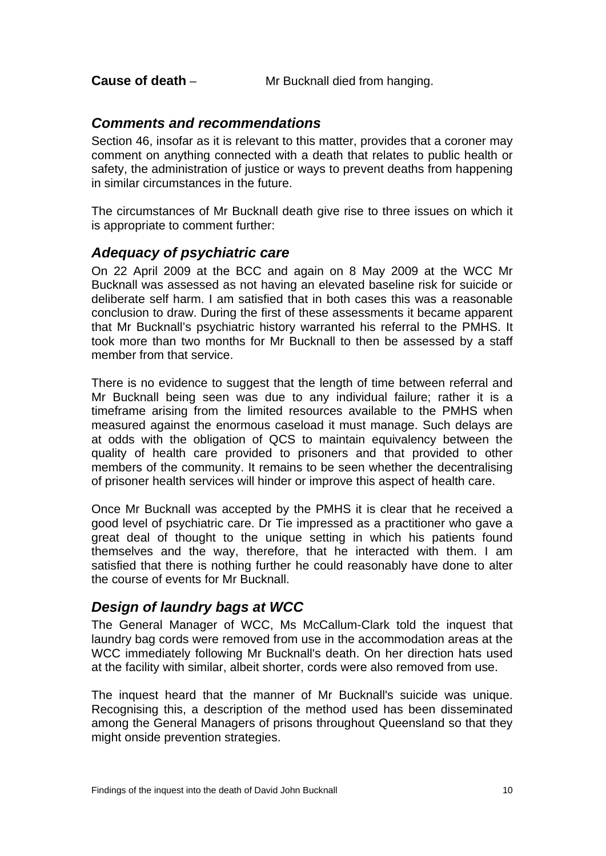<span id="page-11-0"></span>**Cause of death** – Mr Bucknall died from hanging.

#### <span id="page-11-1"></span>*Comments and recommendations*

Section 46, insofar as it is relevant to this matter, provides that a coroner may comment on anything connected with a death that relates to public health or safety, the administration of justice or ways to prevent deaths from happening in similar circumstances in the future.

The circumstances of Mr Bucknall death give rise to three issues on which it is appropriate to comment further:

#### <span id="page-11-2"></span>*Adequacy of psychiatric care*

On 22 April 2009 at the BCC and again on 8 May 2009 at the WCC Mr Bucknall was assessed as not having an elevated baseline risk for suicide or deliberate self harm. I am satisfied that in both cases this was a reasonable conclusion to draw. During the first of these assessments it became apparent that Mr Bucknall's psychiatric history warranted his referral to the PMHS. It took more than two months for Mr Bucknall to then be assessed by a staff member from that service.

There is no evidence to suggest that the length of time between referral and Mr Bucknall being seen was due to any individual failure; rather it is a timeframe arising from the limited resources available to the PMHS when measured against the enormous caseload it must manage. Such delays are at odds with the obligation of QCS to maintain equivalency between the quality of health care provided to prisoners and that provided to other members of the community. It remains to be seen whether the decentralising of prisoner health services will hinder or improve this aspect of health care.

Once Mr Bucknall was accepted by the PMHS it is clear that he received a good level of psychiatric care. Dr Tie impressed as a practitioner who gave a great deal of thought to the unique setting in which his patients found themselves and the way, therefore, that he interacted with them. I am satisfied that there is nothing further he could reasonably have done to alter the course of events for Mr Bucknall.

### <span id="page-11-3"></span>*Design of laundry bags at WCC*

The General Manager of WCC, Ms McCallum-Clark told the inquest that laundry bag cords were removed from use in the accommodation areas at the WCC immediately following Mr Bucknall's death. On her direction hats used at the facility with similar, albeit shorter, cords were also removed from use.

The inquest heard that the manner of Mr Bucknall's suicide was unique. Recognising this, a description of the method used has been disseminated among the General Managers of prisons throughout Queensland so that they might onside prevention strategies.